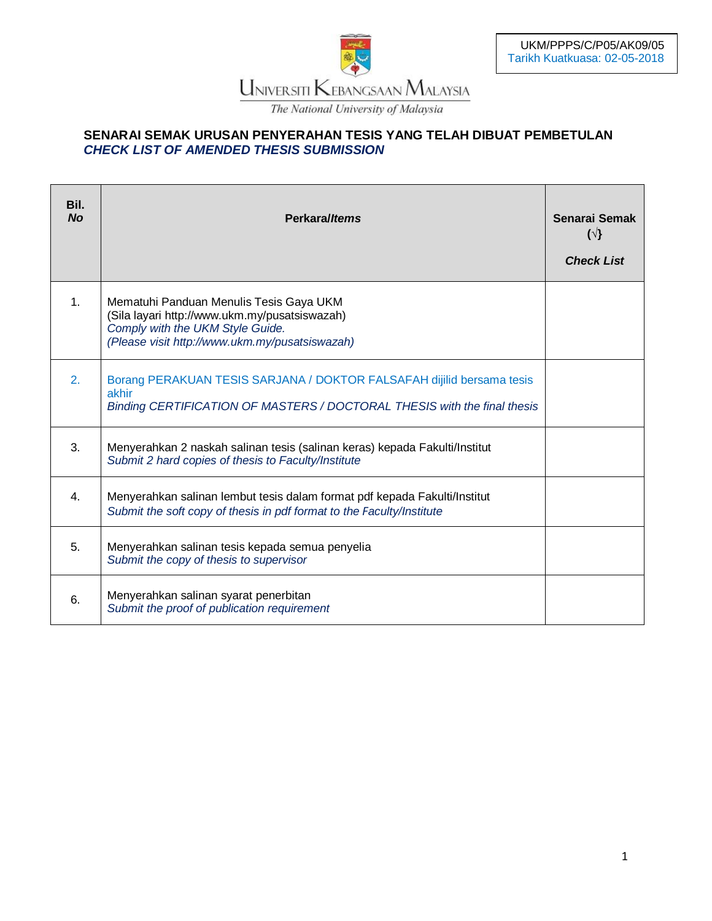

## **SENARAI SEMAK URUSAN PENYERAHAN TESIS YANG TELAH DIBUAT PEMBETULAN** *CHECK LIST OF AMENDED THESIS SUBMISSION*

| Bil.<br><b>No</b> | Perkara/Items                                                                                                                                                                  | Senarai Semak<br>$(\sqrt{3})$<br><b>Check List</b> |
|-------------------|--------------------------------------------------------------------------------------------------------------------------------------------------------------------------------|----------------------------------------------------|
| 1 <sub>1</sub>    | Mematuhi Panduan Menulis Tesis Gaya UKM<br>(Sila layari http://www.ukm.my/pusatsiswazah)<br>Comply with the UKM Style Guide.<br>(Please visit http://www.ukm.my/pusatsiswazah) |                                                    |
| 2.                | Borang PERAKUAN TESIS SARJANA / DOKTOR FALSAFAH dijilid bersama tesis<br>akhir<br>Binding CERTIFICATION OF MASTERS / DOCTORAL THESIS with the final thesis                     |                                                    |
| 3.                | Menyerahkan 2 naskah salinan tesis (salinan keras) kepada Fakulti/Institut<br>Submit 2 hard copies of thesis to Faculty/Institute                                              |                                                    |
| 4.                | Menyerahkan salinan lembut tesis dalam format pdf kepada Fakulti/Institut<br>Submit the soft copy of thesis in pdf format to the Faculty/Institute                             |                                                    |
| 5.                | Menyerahkan salinan tesis kepada semua penyelia<br>Submit the copy of thesis to supervisor                                                                                     |                                                    |
| 6.                | Menyerahkan salinan syarat penerbitan<br>Submit the proof of publication requirement                                                                                           |                                                    |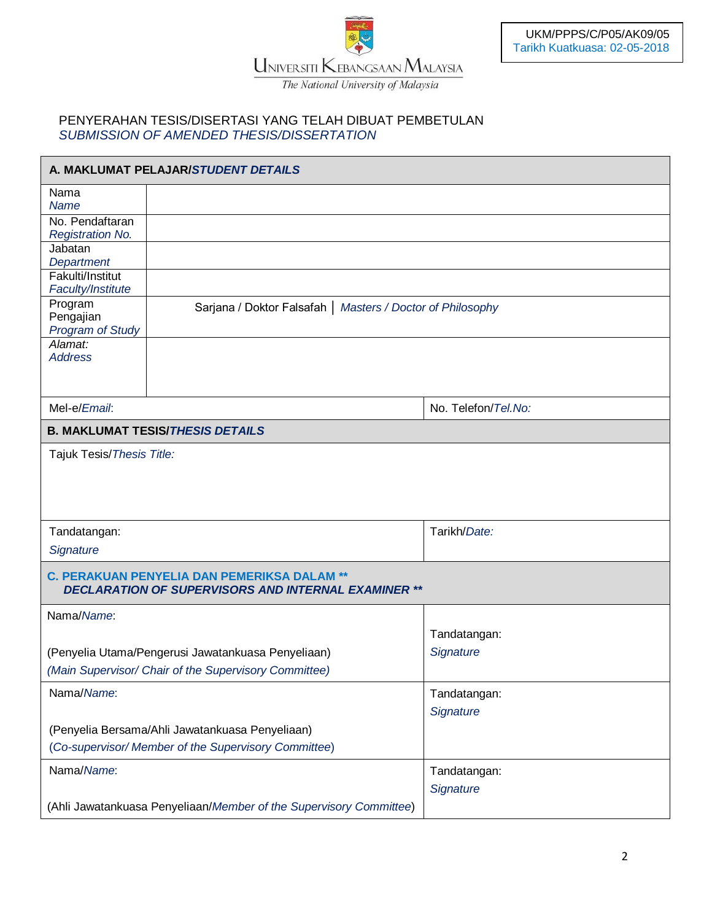

The National University of Malaysia

## PENYERAHAN TESIS/DISERTASI YANG TELAH DIBUAT PEMBETULAN *SUBMISSION OF AMENDED THESIS/DISSERTATION*

| A. MAKLUMAT PELAJAR/STUDENT DETAILS             |                                                                                                                  |                                                            |  |  |
|-------------------------------------------------|------------------------------------------------------------------------------------------------------------------|------------------------------------------------------------|--|--|
| Nama<br><b>Name</b>                             |                                                                                                                  |                                                            |  |  |
| No. Pendaftaran<br><b>Registration No.</b>      |                                                                                                                  |                                                            |  |  |
| Jabatan<br>Department                           |                                                                                                                  |                                                            |  |  |
| Fakulti/Institut<br>Faculty/Institute           |                                                                                                                  |                                                            |  |  |
| Program<br>Pengajian<br><b>Program of Study</b> |                                                                                                                  | Sarjana / Doktor Falsafah   Masters / Doctor of Philosophy |  |  |
| Alamat:<br><b>Address</b>                       |                                                                                                                  |                                                            |  |  |
| Mel-e/Email:                                    |                                                                                                                  | No. Telefon/Tel.No:                                        |  |  |
|                                                 | <b>B. MAKLUMAT TESIS/THESIS DETAILS</b>                                                                          |                                                            |  |  |
|                                                 |                                                                                                                  |                                                            |  |  |
| Tandatangan:                                    |                                                                                                                  | Tarikh/Date:                                               |  |  |
| Signature                                       |                                                                                                                  |                                                            |  |  |
|                                                 | <b>C. PERAKUAN PENYELIA DAN PEMERIKSA DALAM **</b><br><b>DECLARATION OF SUPERVISORS AND INTERNAL EXAMINER **</b> |                                                            |  |  |
| Nama/Name:                                      |                                                                                                                  |                                                            |  |  |
|                                                 |                                                                                                                  | Tandatangan:                                               |  |  |
|                                                 | (Penyelia Utama/Pengerusi Jawatankuasa Penyeliaan)<br>(Main Supervisor/ Chair of the Supervisory Committee)      | Signature                                                  |  |  |
| Nama/Name:                                      |                                                                                                                  | Tandatangan:                                               |  |  |
|                                                 |                                                                                                                  | Signature                                                  |  |  |
|                                                 | (Penyelia Bersama/Ahli Jawatankuasa Penyeliaan)<br>(Co-supervisor/ Member of the Supervisory Committee)          |                                                            |  |  |
|                                                 |                                                                                                                  |                                                            |  |  |
| Nama/Name:                                      |                                                                                                                  | Tandatangan:                                               |  |  |
|                                                 | (Ahli Jawatankuasa Penyeliaan/Member of the Supervisory Committee)                                               | Signature                                                  |  |  |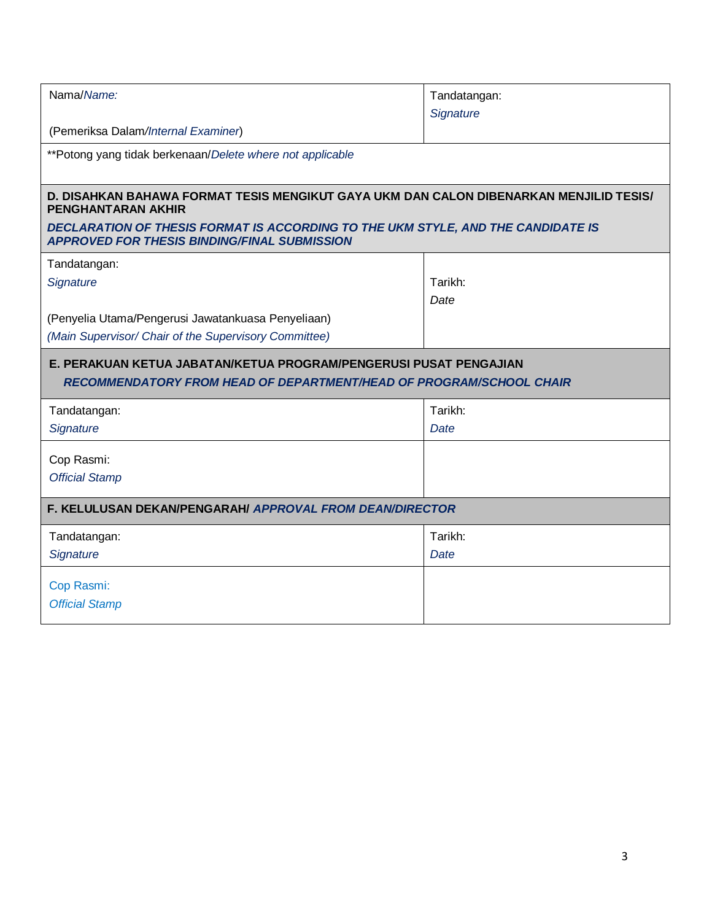| Nama/Name:                                                                                                                               | Tandatangan: |  |  |  |  |  |
|------------------------------------------------------------------------------------------------------------------------------------------|--------------|--|--|--|--|--|
|                                                                                                                                          | Signature    |  |  |  |  |  |
| (Pemeriksa Dalam/Internal Examiner)                                                                                                      |              |  |  |  |  |  |
| **Potong yang tidak berkenaan/Delete where not applicable                                                                                |              |  |  |  |  |  |
|                                                                                                                                          |              |  |  |  |  |  |
| D. DISAHKAN BAHAWA FORMAT TESIS MENGIKUT GAYA UKM DAN CALON DIBENARKAN MENJILID TESIS/<br><b>PENGHANTARAN AKHIR</b>                      |              |  |  |  |  |  |
| DECLARATION OF THESIS FORMAT IS ACCORDING TO THE UKM STYLE, AND THE CANDIDATE IS<br><b>APPROVED FOR THESIS BINDING/FINAL SUBMISSION</b>  |              |  |  |  |  |  |
| Tandatangan:                                                                                                                             |              |  |  |  |  |  |
| Signature                                                                                                                                | Tarikh:      |  |  |  |  |  |
|                                                                                                                                          | Date         |  |  |  |  |  |
| (Penyelia Utama/Pengerusi Jawatankuasa Penyeliaan)                                                                                       |              |  |  |  |  |  |
| (Main Supervisor/ Chair of the Supervisory Committee)                                                                                    |              |  |  |  |  |  |
| E. PERAKUAN KETUA JABATAN/KETUA PROGRAM/PENGERUSI PUSAT PENGAJIAN<br>RECOMMENDATORY FROM HEAD OF DEPARTMENT/HEAD OF PROGRAM/SCHOOL CHAIR |              |  |  |  |  |  |
| Tandatangan:                                                                                                                             | Tarikh:      |  |  |  |  |  |
|                                                                                                                                          |              |  |  |  |  |  |
| Signature                                                                                                                                | Date         |  |  |  |  |  |
|                                                                                                                                          |              |  |  |  |  |  |
| Cop Rasmi:                                                                                                                               |              |  |  |  |  |  |
| <b>Official Stamp</b>                                                                                                                    |              |  |  |  |  |  |
| F. KELULUSAN DEKAN/PENGARAH/ APPROVAL FROM DEAN/DIRECTOR                                                                                 |              |  |  |  |  |  |
| Tandatangan:                                                                                                                             | Tarikh:      |  |  |  |  |  |
| Signature                                                                                                                                | Date         |  |  |  |  |  |
|                                                                                                                                          |              |  |  |  |  |  |
| Cop Rasmi:                                                                                                                               |              |  |  |  |  |  |
| <b>Official Stamp</b>                                                                                                                    |              |  |  |  |  |  |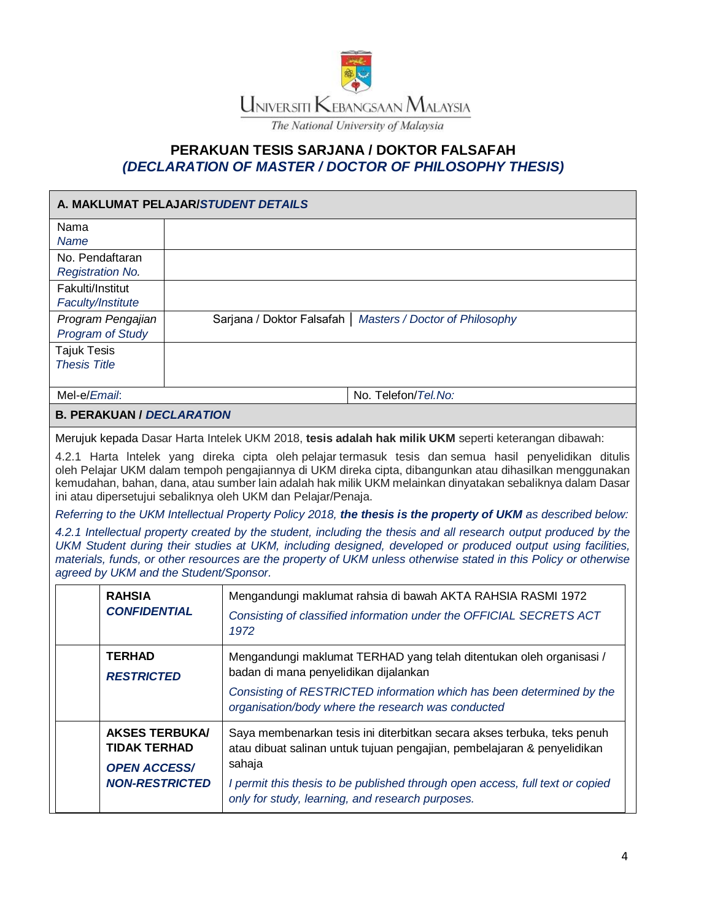

## **PERAKUAN TESIS SARJANA / DOKTOR FALSAFAH** *(DECLARATION OF MASTER / DOCTOR OF PHILOSOPHY THESIS)*

| A. MAKLUMAT PELAJAR/STUDENT DETAILS                                                          |                                                            |                                                                                                                                                                                                                                                                                                                                                                                                                                                                                                                                                                                                                                                                                                                                                                                                                                                                                                                                                                                |  |  |
|----------------------------------------------------------------------------------------------|------------------------------------------------------------|--------------------------------------------------------------------------------------------------------------------------------------------------------------------------------------------------------------------------------------------------------------------------------------------------------------------------------------------------------------------------------------------------------------------------------------------------------------------------------------------------------------------------------------------------------------------------------------------------------------------------------------------------------------------------------------------------------------------------------------------------------------------------------------------------------------------------------------------------------------------------------------------------------------------------------------------------------------------------------|--|--|
| Nama<br><b>Name</b>                                                                          |                                                            |                                                                                                                                                                                                                                                                                                                                                                                                                                                                                                                                                                                                                                                                                                                                                                                                                                                                                                                                                                                |  |  |
| No. Pendaftaran<br><b>Registration No.</b>                                                   |                                                            |                                                                                                                                                                                                                                                                                                                                                                                                                                                                                                                                                                                                                                                                                                                                                                                                                                                                                                                                                                                |  |  |
| Fakulti/Institut<br>Faculty/Institute                                                        |                                                            |                                                                                                                                                                                                                                                                                                                                                                                                                                                                                                                                                                                                                                                                                                                                                                                                                                                                                                                                                                                |  |  |
| Program Pengajian<br><b>Program of Study</b>                                                 | Sarjana / Doktor Falsafah   Masters / Doctor of Philosophy |                                                                                                                                                                                                                                                                                                                                                                                                                                                                                                                                                                                                                                                                                                                                                                                                                                                                                                                                                                                |  |  |
| <b>Tajuk Tesis</b><br><b>Thesis Title</b>                                                    |                                                            |                                                                                                                                                                                                                                                                                                                                                                                                                                                                                                                                                                                                                                                                                                                                                                                                                                                                                                                                                                                |  |  |
| Mel-e/Email:                                                                                 |                                                            | No. Telefon/Tel.No:                                                                                                                                                                                                                                                                                                                                                                                                                                                                                                                                                                                                                                                                                                                                                                                                                                                                                                                                                            |  |  |
| <b>B. PERAKUAN / DECLARATION</b>                                                             |                                                            |                                                                                                                                                                                                                                                                                                                                                                                                                                                                                                                                                                                                                                                                                                                                                                                                                                                                                                                                                                                |  |  |
| agreed by UKM and the Student/Sponsor.                                                       |                                                            | Merujuk kepada Dasar Harta Intelek UKM 2018, tesis adalah hak milik UKM seperti keterangan dibawah:<br>4.2.1 Harta Intelek yang direka cipta oleh pelajar termasuk tesis dan semua hasil penyelidikan ditulis<br>oleh Pelajar UKM dalam tempoh pengajiannya di UKM direka cipta, dibangunkan atau dihasilkan menggunakan<br>kemudahan, bahan, dana, atau sumber lain adalah hak milik UKM melainkan dinyatakan sebaliknya dalam Dasar<br>ini atau dipersetujui sebaliknya oleh UKM dan Pelajar/Penaja.<br>Referring to the UKM Intellectual Property Policy 2018, the thesis is the property of UKM as described below:<br>4.2.1 Intellectual property created by the student, including the thesis and all research output produced by the<br>UKM Student during their studies at UKM, including designed, developed or produced output using facilities,<br>materials, funds, or other resources are the property of UKM unless otherwise stated in this Policy or otherwise |  |  |
| <b>RAHSIA</b><br><b>CONFIDENTIAL</b>                                                         |                                                            | Mengandungi maklumat rahsia di bawah AKTA RAHSIA RASMI 1972<br>Consisting of classified information under the OFFICIAL SECRETS ACT<br>1972                                                                                                                                                                                                                                                                                                                                                                                                                                                                                                                                                                                                                                                                                                                                                                                                                                     |  |  |
| <b>TERHAD</b><br><b>RESTRICTED</b>                                                           |                                                            | Mengandungi maklumat TERHAD yang telah ditentukan oleh organisasi /<br>badan di mana penyelidikan dijalankan<br>Consisting of RESTRICTED information which has been determined by the<br>organisation/body where the research was conducted                                                                                                                                                                                                                                                                                                                                                                                                                                                                                                                                                                                                                                                                                                                                    |  |  |
| <b>AKSES TERBUKA/</b><br><b>TIDAK TERHAD</b><br><b>OPEN ACCESS/</b><br><b>NON-RESTRICTED</b> |                                                            | Saya membenarkan tesis ini diterbitkan secara akses terbuka, teks penuh<br>atau dibuat salinan untuk tujuan pengajian, pembelajaran & penyelidikan<br>sahaja<br>I permit this thesis to be published through open access, full text or copied<br>only for study, learning, and research purposes.                                                                                                                                                                                                                                                                                                                                                                                                                                                                                                                                                                                                                                                                              |  |  |